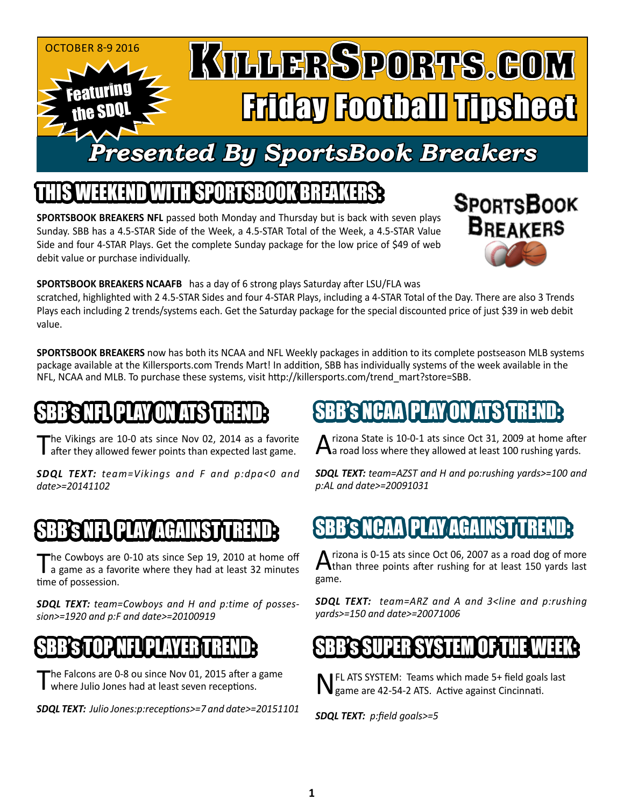#### KILLERSPORTS.GOM October 8-9 2016 Featuring Friday Football Tipsheet the SDQL *Presented By SportsBook Breakers*

### THIS WEEKEND WITH SPORTSBOOK BREAKS AND A SPORTSBOOK BREAKERS

**SPORTSBOOK BREAKERS NFL** passed both Monday and Thursday but is back with seven plays Sunday. SBB has a 4.5-STAR Side of the Week, a 4.5-STAR Total of the Week, a 4.5-STAR Value Side and four 4-STAR Plays. Get the complete Sunday package for the low price of \$49 of web debit value or purchase individually.



**SPORTSBOOK BREAKERS NCAAFB** has a day of 6 strong plays Saturday after LSU/FLA was

scratched, highlighted with 2 4.5-STAR Sides and four 4-STAR Plays, including a 4-STAR Total of the Day. There are also 3 Trends Plays each including 2 trends/systems each. Get the Saturday package for the special discounted price of just \$39 in web debit value.

**SPORTSBOOK BREAKERS** now has both its NCAA and NFL Weekly packages in addition to its complete postseason MLB systems package available at the Killersports.com Trends Mart! In addition, SBB has individually systems of the week available in the NFL, NCAA and MLB. To purchase these systems, visit http://killersports.com/trend\_mart?store=SBB.

# INFLI PLAY ON I

The Vikings are 10-0 ats since Nov 02, 2014 as a favorite after they allowed fewer points than expected last game.

*SDQL TEXT: team=Vikings and F and p:dpa<0 and date>=20141102*

# SBBSNEL PLAY AGAINST TREND

'he Cowboys are 0-10 ats since Sep 19, 2010 at home off a game as a favorite where they had at least 32 minutes time of possession.

*SDQL TEXT: team=Cowboys and H and p:time of possession>=1920 and p:F and date>=20100919*

### SBB'S TOP NEUPLAYER TREND:

The Falcons are 0-8 ou since Nov 01, 2015 after a game where Julio Jones had at least seven receptions.

*SDQL TEXT: Julio Jones:p:receptions>=7 and date>=20151101*

# PLAY.ON

rizona State is 10-0-1 ats since Oct 31, 2009 at home after **L** a road loss where they allowed at least 100 rushing yards.

*SDQL TEXT: team=AZST and H and po:rushing yards>=100 and p:AL and date>=20091031*

# SBB's NCAA PLAY AGAINST TREND:

A rizona is 0-15 ats since Oct 06, 2007 as a road dog of more<br>Athan three points after rushing for at least 150 yards last game.

*SDQL TEXT: team=ARZ and A and 3<line and p:rushing yards>=150 and date>=20071006*

### SBB's SUPER SYSTEM OF THE WEEK:

NFL ATS SYSTEM: Teams which made 5+ field goals last game are 42-54-2 ATS. Active against Cincinnati.

*SDQL TEXT: p:field goals>=5*